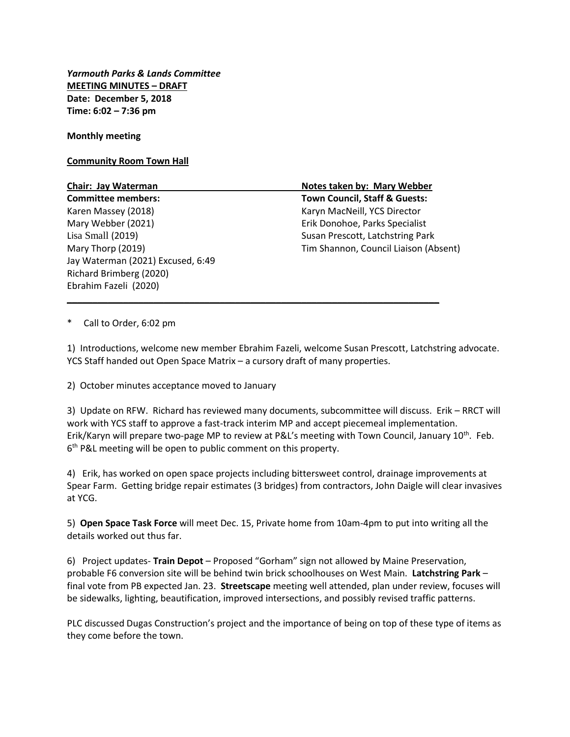*Yarmouth Parks & Lands Committee* **MEETING MINUTES – DRAFT Date: December 5, 2018 Time: 6:02 – 7:36 pm**

**Monthly meeting**

**Community Room Town Hall**

| Chair: Jay Waterman               | Notes taken by: Mary Webber              |
|-----------------------------------|------------------------------------------|
| <b>Committee members:</b>         | <b>Town Council, Staff &amp; Guests:</b> |
| Karen Massey (2018)               | Karyn MacNeill, YCS Director             |
| Mary Webber (2021)                | Erik Donohoe, Parks Specialist           |
| Lisa Small (2019)                 | Susan Prescott, Latchstring Park         |
| Mary Thorp (2019)                 | Tim Shannon, Council Liaison (Absent)    |
| Jay Waterman (2021) Excused, 6:49 |                                          |
| Richard Brimberg (2020)           |                                          |
| Ebrahim Fazeli (2020)             |                                          |

\_\_\_\_\_\_\_\_\_\_\_\_\_\_\_\_\_\_\_\_\_\_\_\_\_\_\_\_\_\_\_\_\_\_\_\_\_\_\_\_\_\_\_\_\_\_\_\_\_\_\_\_\_\_\_\_\_\_\_\_\_\_\_\_\_\_\_\_\_\_\_\_\_

\* Call to Order, 6:02 pm

1) Introductions, welcome new member Ebrahim Fazeli, welcome Susan Prescott, Latchstring advocate. YCS Staff handed out Open Space Matrix – a cursory draft of many properties.

2) October minutes acceptance moved to January

3) Update on RFW. Richard has reviewed many documents, subcommittee will discuss. Erik – RRCT will work with YCS staff to approve a fast-track interim MP and accept piecemeal implementation. Erik/Karyn will prepare two-page MP to review at P&L's meeting with Town Council, January 10th. Feb. 6<sup>th</sup> P&L meeting will be open to public comment on this property.

4) Erik, has worked on open space projects including bittersweet control, drainage improvements at Spear Farm. Getting bridge repair estimates (3 bridges) from contractors, John Daigle will clear invasives at YCG.

5) **Open Space Task Force** will meet Dec. 15, Private home from 10am-4pm to put into writing all the details worked out thus far.

6) Project updates- **Train Depot** – Proposed "Gorham" sign not allowed by Maine Preservation, probable F6 conversion site will be behind twin brick schoolhouses on West Main. **Latchstring Park** – final vote from PB expected Jan. 23. **Streetscape** meeting well attended, plan under review, focuses will be sidewalks, lighting, beautification, improved intersections, and possibly revised traffic patterns.

PLC discussed Dugas Construction's project and the importance of being on top of these type of items as they come before the town.